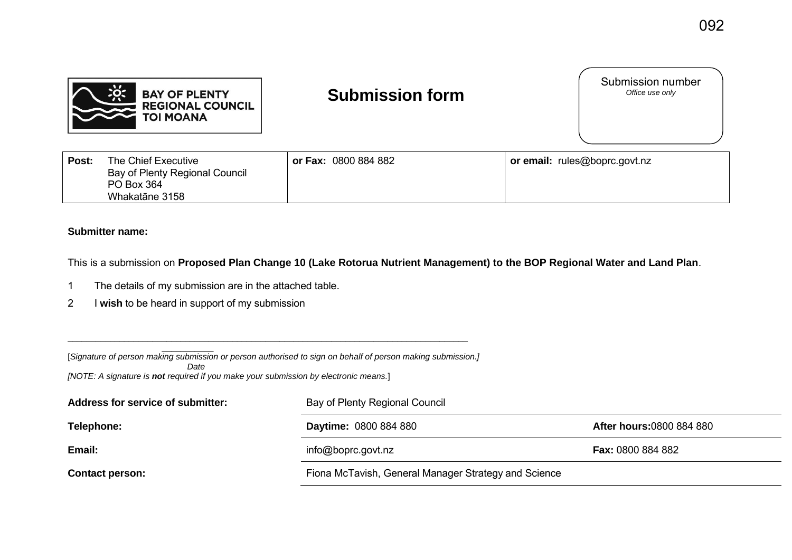

## **Submission form**

Submission number<br>Office use only

| Post: | The Chief Executive            | or Fax: 0800 884 882 | or email: rules@boprc.govt.nz |
|-------|--------------------------------|----------------------|-------------------------------|
|       | Bay of Plenty Regional Council |                      |                               |
|       | PO Box 364                     |                      |                               |
|       | Whakatāne 3158                 |                      |                               |

## **Submitter name:**

This is a submission on **Proposed Plan Change 10 (Lake Rotorua Nutrient Management) to the BOP Regional Water and Land Plan**.

- 1 The details of my submission are in the attached table.
- 2 I **wish** to be heard in support of my submission

 $\overline{\phantom{a}}$  , where  $\overline{\phantom{a}}$ [*Signature of person making submission or person authorised to sign on behalf of person making submission.]* 

\_\_\_\_\_\_\_\_\_\_\_\_\_\_\_\_\_\_\_\_\_\_\_\_\_\_\_\_\_\_\_\_\_\_\_\_\_\_\_\_\_\_\_\_\_\_\_\_\_\_\_\_\_\_\_\_\_\_\_\_\_\_\_\_\_\_\_\_\_\_\_\_\_\_\_\_\_\_\_\_\_\_\_\_\_

 *Date* 

*[NOTE: A signature is not required if you make your submission by electronic means.*]

| Address for service of submitter: | Bay of Plenty Regional Council                       |                                 |
|-----------------------------------|------------------------------------------------------|---------------------------------|
| Telephone:                        | <b>Daytime: 0800 884 880</b>                         | <b>After hours:0800 884 880</b> |
| Email:                            | info@boprc.govt.nz                                   | <b>Fax: 0800 884 882</b>        |
| <b>Contact person:</b>            | Fiona McTavish, General Manager Strategy and Science |                                 |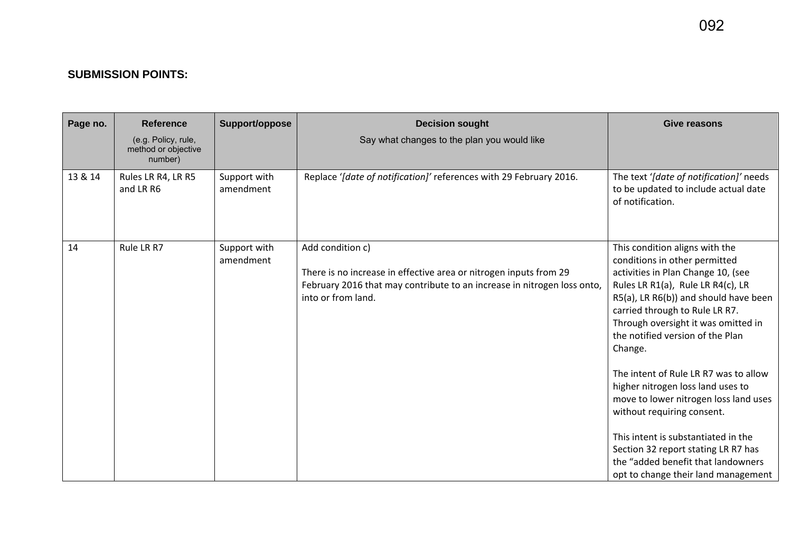## **SUBMISSION POINTS:**

| Page no. | <b>Reference</b><br>(e.g. Policy, rule,<br>method or objective<br>number) | Support/oppose            | <b>Decision sought</b><br>Say what changes to the plan you would like                                                                                                                  | <b>Give reasons</b>                                                                                                                                                                                                                                                                                                                                                                                                                                                                                                                                                                                                         |
|----------|---------------------------------------------------------------------------|---------------------------|----------------------------------------------------------------------------------------------------------------------------------------------------------------------------------------|-----------------------------------------------------------------------------------------------------------------------------------------------------------------------------------------------------------------------------------------------------------------------------------------------------------------------------------------------------------------------------------------------------------------------------------------------------------------------------------------------------------------------------------------------------------------------------------------------------------------------------|
| 13 & 14  | Rules LR R4, LR R5<br>and LR R6                                           | Support with<br>amendment | Replace '[date of notification]' references with 29 February 2016.                                                                                                                     | The text '[date of notification]' needs<br>to be updated to include actual date<br>of notification.                                                                                                                                                                                                                                                                                                                                                                                                                                                                                                                         |
| 14       | Rule LR R7                                                                | Support with<br>amendment | Add condition c)<br>There is no increase in effective area or nitrogen inputs from 29<br>February 2016 that may contribute to an increase in nitrogen loss onto,<br>into or from land. | This condition aligns with the<br>conditions in other permitted<br>activities in Plan Change 10, (see<br>Rules LR R1(a), Rule LR R4(c), LR<br>R5(a), LR R6(b)) and should have been<br>carried through to Rule LR R7.<br>Through oversight it was omitted in<br>the notified version of the Plan<br>Change.<br>The intent of Rule LR R7 was to allow<br>higher nitrogen loss land uses to<br>move to lower nitrogen loss land uses<br>without requiring consent.<br>This intent is substantiated in the<br>Section 32 report stating LR R7 has<br>the "added benefit that landowners<br>opt to change their land management |